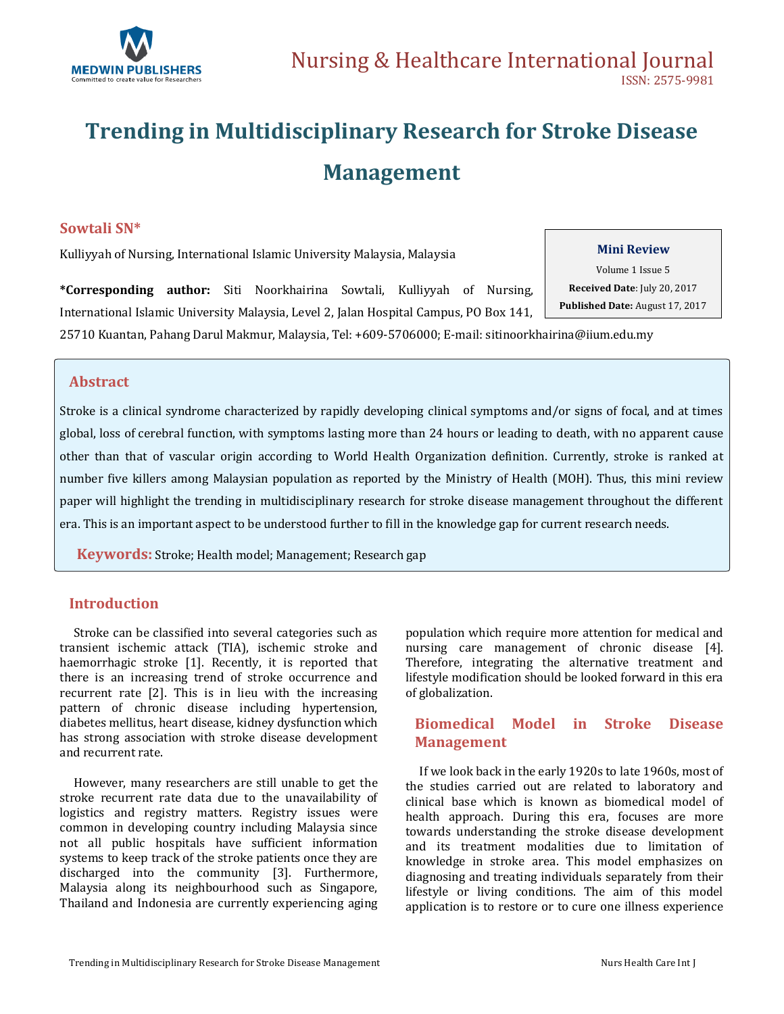

# **Trending in Multidisciplinary Research for Stroke Disease Management**

### **Sowtali SN\***

Kulliyyah of Nursing, International Islamic University Malaysia, Malaysia

**\*Corresponding author:** Siti Noorkhairina Sowtali, Kulliyyah of Nursing, International Islamic University Malaysia, Level 2, Jalan Hospital Campus, PO Box 141,

# **Mini Review**

Volume 1 Issue 5 **Received Date**: July 20, 2017 **Published Date:** August 17, 2017

25710 Kuantan, Pahang Darul Makmur, Malaysia, Tel: +609-5706000; E-mail[: sitinoorkhairina@iium.edu.my](mailto:sitinoorkhairina@iium.edu.my)

### **Abstract**

Stroke is a clinical syndrome characterized by rapidly developing clinical symptoms and/or signs of focal, and at times global, loss of cerebral function, with symptoms lasting more than 24 hours or leading to death, with no apparent cause other than that of vascular origin according to World Health Organization definition. Currently, stroke is ranked at number five killers among Malaysian population as reported by the Ministry of Health (MOH). Thus, this mini review paper will highlight the trending in multidisciplinary research for stroke disease management throughout the different era. This is an important aspect to be understood further to fill in the knowledge gap for current research needs.

 **Keywords:** Stroke; Health model; Management; Research gap

### **Introduction**

 Stroke can be classified into several categories such as transient ischemic attack (TIA), ischemic stroke and haemorrhagic stroke [1]. Recently, it is reported that there is an increasing trend of stroke occurrence and recurrent rate [2]. This is in lieu with the increasing pattern of chronic disease including hypertension, diabetes mellitus, heart disease, kidney dysfunction which has strong association with stroke disease development and recurrent rate.

 However, many researchers are still unable to get the stroke recurrent rate data due to the unavailability of logistics and registry matters. Registry issues were common in developing country including Malaysia since not all public hospitals have sufficient information systems to keep track of the stroke patients once they are discharged into the community [3]. Furthermore, Malaysia along its neighbourhood such as Singapore, Thailand and Indonesia are currently experiencing aging population which require more attention for medical and nursing care management of chronic disease [4]. Therefore, integrating the alternative treatment and lifestyle modification should be looked forward in this era of globalization.

# **Biomedical Model in Stroke Disease Management**

 If we look back in the early 1920s to late 1960s, most of the studies carried out are related to laboratory and clinical base which is known as biomedical model of health approach. During this era, focuses are more towards understanding the stroke disease development and its treatment modalities due to limitation of knowledge in stroke area. This model emphasizes on diagnosing and treating individuals separately from their lifestyle or living conditions. The aim of this model application is to restore or to cure one illness experience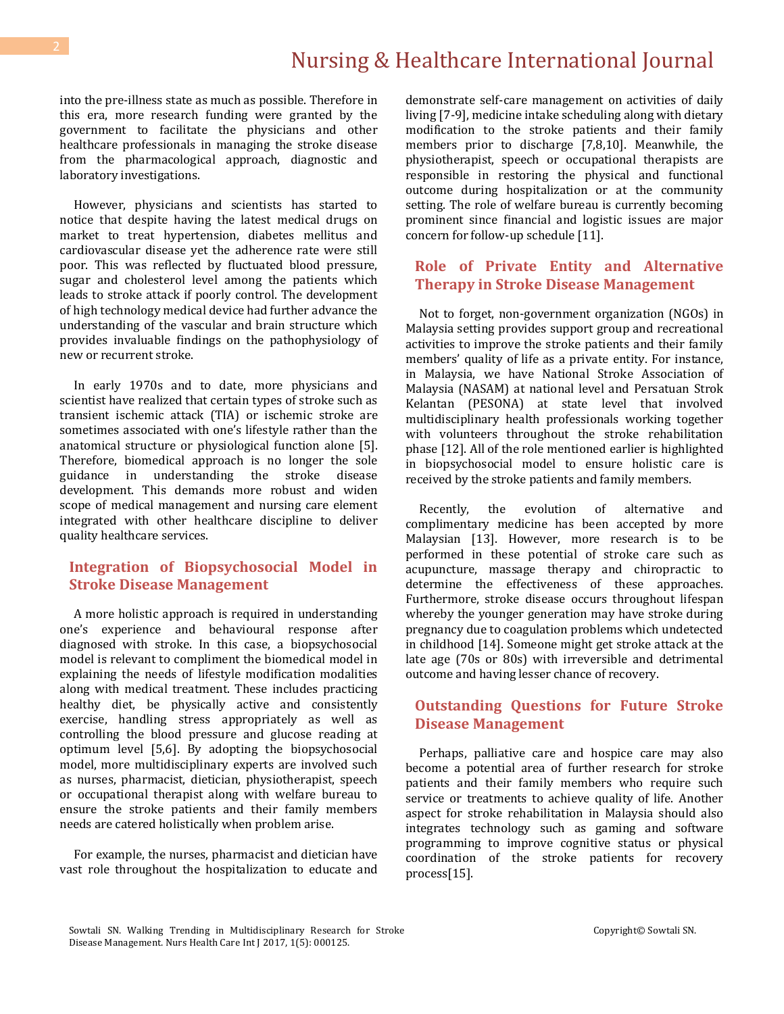# Nursing & Healthcare International Journal

into the pre-illness state as much as possible. Therefore in this era, more research funding were granted by the government to facilitate the physicians and other healthcare professionals in managing the stroke disease from the pharmacological approach, diagnostic and laboratory investigations.

 However, physicians and scientists has started to notice that despite having the latest medical drugs on market to treat hypertension, diabetes mellitus and cardiovascular disease yet the adherence rate were still poor. This was reflected by fluctuated blood pressure, sugar and cholesterol level among the patients which leads to stroke attack if poorly control. The development of high technology medical device had further advance the understanding of the vascular and brain structure which provides invaluable findings on the pathophysiology of new or recurrent stroke.

 In early 1970s and to date, more physicians and scientist have realized that certain types of stroke such as transient ischemic attack (TIA) or ischemic stroke are sometimes associated with one's lifestyle rather than the anatomical structure or physiological function alone [5]. Therefore, biomedical approach is no longer the sole guidance in understanding the stroke disease development. This demands more robust and widen scope of medical management and nursing care element integrated with other healthcare discipline to deliver quality healthcare services.

# **Integration of Biopsychosocial Model in Stroke Disease Management**

 A more holistic approach is required in understanding one's experience and behavioural response after diagnosed with stroke. In this case, a biopsychosocial model is relevant to compliment the biomedical model in explaining the needs of lifestyle modification modalities along with medical treatment. These includes practicing healthy diet, be physically active and consistently exercise, handling stress appropriately as well as controlling the blood pressure and glucose reading at optimum level [5,6]. By adopting the biopsychosocial model, more multidisciplinary experts are involved such as nurses, pharmacist, dietician, physiotherapist, speech or occupational therapist along with welfare bureau to ensure the stroke patients and their family members needs are catered holistically when problem arise.

 For example, the nurses, pharmacist and dietician have vast role throughout the hospitalization to educate and

demonstrate self-care management on activities of daily living [7-9], medicine intake scheduling along with dietary modification to the stroke patients and their family members prior to discharge [7,8,10]. Meanwhile, the physiotherapist, speech or occupational therapists are responsible in restoring the physical and functional outcome during hospitalization or at the community setting. The role of welfare bureau is currently becoming prominent since financial and logistic issues are major concern for follow-up schedule [11].

## **Role of Private Entity and Alternative Therapy in Stroke Disease Management**

 Not to forget, non-government organization (NGOs) in Malaysia setting provides support group and recreational activities to improve the stroke patients and their family members' quality of life as a private entity. For instance, in Malaysia, we have National Stroke Association of Malaysia (NASAM) at national level and Persatuan Strok Kelantan (PESONA) at state level that involved multidisciplinary health professionals working together with volunteers throughout the stroke rehabilitation phase [12]. All of the role mentioned earlier is highlighted in biopsychosocial model to ensure holistic care is received by the stroke patients and family members.

 Recently, the evolution of alternative and complimentary medicine has been accepted by more Malaysian [13]. However, more research is to be performed in these potential of stroke care such as acupuncture, massage therapy and chiropractic to determine the effectiveness of these approaches. Furthermore, stroke disease occurs throughout lifespan whereby the younger generation may have stroke during pregnancy due to coagulation problems which undetected in childhood [14]. Someone might get stroke attack at the late age (70s or 80s) with irreversible and detrimental outcome and having lesser chance of recovery.

# **Outstanding Questions for Future Stroke Disease Management**

 Perhaps, palliative care and hospice care may also become a potential area of further research for stroke patients and their family members who require such service or treatments to achieve quality of life. Another aspect for stroke rehabilitation in Malaysia should also integrates technology such as gaming and software programming to improve cognitive status or physical coordination of the stroke patients for recovery process[15].